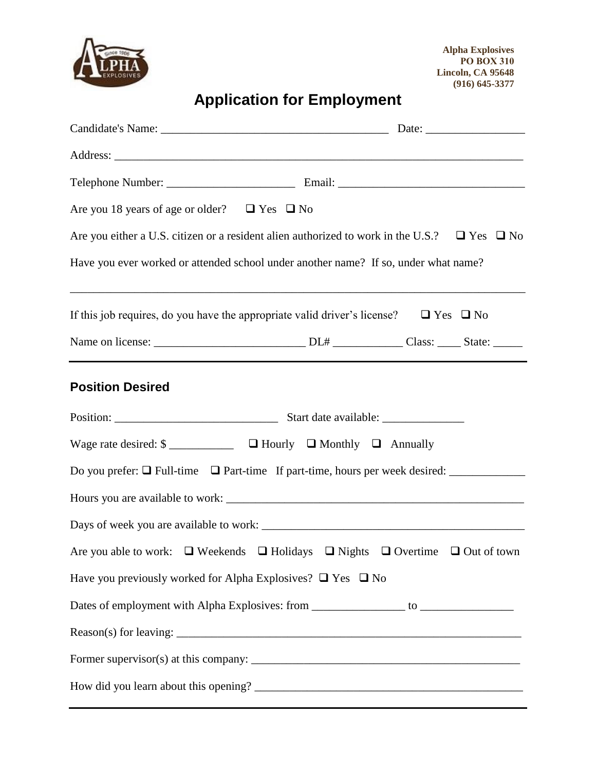

# **Application for Employment**

| Are you 18 years of age or older? $\Box$ Yes $\Box$ No                                                       |  |
|--------------------------------------------------------------------------------------------------------------|--|
| Are you either a U.S. citizen or a resident alien authorized to work in the U.S.? $\square$ Yes $\square$ No |  |
| Have you ever worked or attended school under another name? If so, under what name?                          |  |
| If this job requires, do you have the appropriate valid driver's license? $\Box$ Yes $\Box$ No               |  |
|                                                                                                              |  |
| <b>Position Desired</b>                                                                                      |  |
|                                                                                                              |  |
|                                                                                                              |  |
| Do you prefer: $\Box$ Full-time $\Box$ Part-time If part-time, hours per week desired: $\Box$                |  |
|                                                                                                              |  |
|                                                                                                              |  |
| Are you able to work: $\Box$ Weekends $\Box$ Holidays $\Box$ Nights $\Box$ Overtime $\Box$ Out of town       |  |
| Have you previously worked for Alpha Explosives? $\Box$ Yes $\Box$ No                                        |  |
| Dates of employment with Alpha Explosives: from _______________ to ______________                            |  |
|                                                                                                              |  |
|                                                                                                              |  |
|                                                                                                              |  |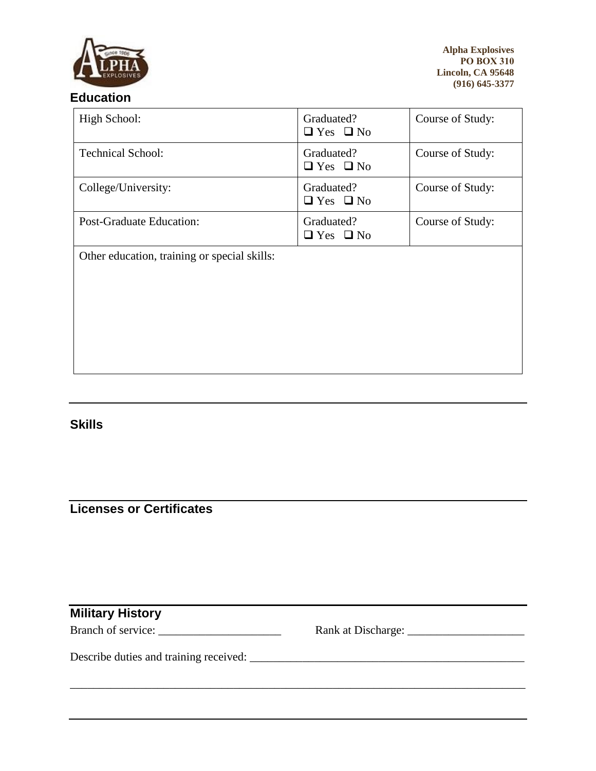

#### **Education**

| High School:                                 | Graduated?<br>$\Box$ Yes $\Box$ No | Course of Study: |
|----------------------------------------------|------------------------------------|------------------|
| <b>Technical School:</b>                     | Graduated?<br>$\Box$ Yes $\Box$ No | Course of Study: |
| College/University:                          | Graduated?<br>$\Box$ Yes $\Box$ No | Course of Study: |
| <b>Post-Graduate Education:</b>              | Graduated?<br>$\Box$ Yes $\Box$ No | Course of Study: |
| Other education, training or special skills: |                                    |                  |

**Skills**

## **Licenses or Certificates**

| <b>Military History</b> |  |
|-------------------------|--|
| Branch of service:      |  |
|                         |  |
|                         |  |
|                         |  |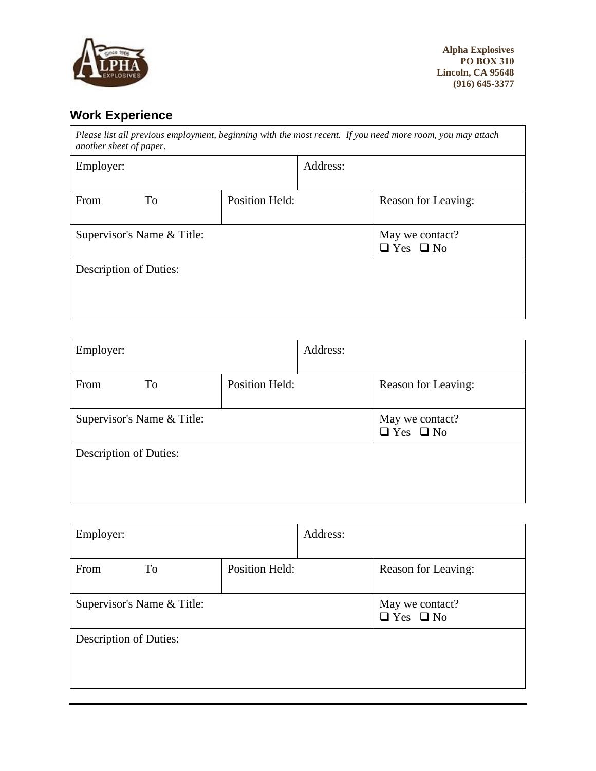

# **Work Experience**

| Please list all previous employment, beginning with the most recent. If you need more room, you may attach<br>another sheet of paper. |                       |          |                                         |
|---------------------------------------------------------------------------------------------------------------------------------------|-----------------------|----------|-----------------------------------------|
| Employer:                                                                                                                             |                       | Address: |                                         |
| From<br>To                                                                                                                            | <b>Position Held:</b> |          | Reason for Leaving:                     |
| Supervisor's Name & Title:                                                                                                            |                       |          | May we contact?<br>$\Box$ Yes $\Box$ No |
| <b>Description of Duties:</b>                                                                                                         |                       |          |                                         |
|                                                                                                                                       |                       |          |                                         |

| Employer:                     |                       | Address: |                                         |
|-------------------------------|-----------------------|----------|-----------------------------------------|
| To<br>From                    | <b>Position Held:</b> |          | Reason for Leaving:                     |
| Supervisor's Name & Title:    |                       |          | May we contact?<br>$\Box$ Yes $\Box$ No |
| <b>Description of Duties:</b> |                       |          |                                         |
|                               |                       |          |                                         |

| Employer:                     |                       | Address: |                                         |
|-------------------------------|-----------------------|----------|-----------------------------------------|
| From<br>To                    | <b>Position Held:</b> |          | Reason for Leaving:                     |
| Supervisor's Name & Title:    |                       |          | May we contact?<br>$\Box$ Yes $\Box$ No |
| <b>Description of Duties:</b> |                       |          |                                         |